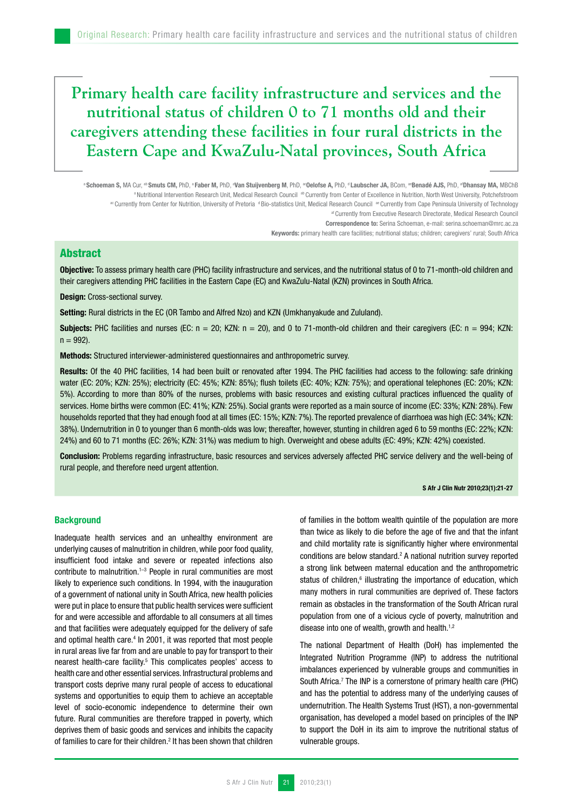# **Primary health care facility infrastructure and services and the nutritional status of children 0 to 71 months old and their caregivers attending these facilities in four rural districts in the Eastern Cape and KwaZulu-Natal provinces, South Africa**

®Schoeman S, MA Cur, ®Smuts CM, PhD, ®Faber M, PhD, ®Van Stuijvenberg M, PhD, ®Oelofse A, PhD, ®Laubscher JA, BCom, ®Benadé AJS, PhD, ®Dhansay MA, MBChB a Nutritional Intervention Research Unit, Medical Research Council ab Currently from Center of Excellence in Nutrition, North West University, Potchefstroom ac Currently from Center for Nutrition, University of Pretoria <sup>a</sup> Bio-statistics Unit, Medical Research Council ae Currently from Cape Peninsula University of Technology af Currently from Executive Research Directorate, Medical Research Council Correspondence to: Serina Schoeman, e-mail: serina.schoeman@mrc.ac.za

Keywords: primary health care facilities; nutritional status; children; caregivers' rural; South Africa

# **Abstract**

Objective: To assess primary health care (PHC) facility infrastructure and services, and the nutritional status of 0 to 71-month-old children and their caregivers attending PHC facilities in the Eastern Cape (EC) and KwaZulu-Natal (KZN) provinces in South Africa.

Design: Cross-sectional survey.

Setting: Rural districts in the EC (OR Tambo and Alfred Nzo) and KZN (Umkhanyakude and Zululand).

**Subjects:** PHC facilities and nurses (EC:  $n = 20$ ; KZN:  $n = 20$ ), and 0 to 71-month-old children and their caregivers (EC:  $n = 994$ ; KZN:  $n = 992$ ).

Methods: Structured interviewer-administered questionnaires and anthropometric survey.

Results: Of the 40 PHC facilities, 14 had been built or renovated after 1994. The PHC facilities had access to the following: safe drinking water (EC: 20%; KZN: 25%); electricity (EC: 45%; KZN: 85%); flush toilets (EC: 40%; KZN: 75%); and operational telephones (EC: 20%; KZN: 5%). According to more than 80% of the nurses, problems with basic resources and existing cultural practices influenced the quality of services. Home births were common (EC: 41%; KZN: 25%). Social grants were reported as a main source of income (EC: 33%; KZN: 28%). Few households reported that they had enough food at all times (EC: 15%; KZN: 7%). The reported prevalence of diarrhoea was high (EC: 34%; KZN: 38%). Undernutrition in 0 to younger than 6 month-olds was low; thereafter, however, stunting in children aged 6 to 59 months (EC: 22%; KZN: 24%) and 60 to 71 months (EC: 26%; KZN: 31%) was medium to high. Overweight and obese adults (EC: 49%; KZN: 42%) coexisted.

Conclusion: Problems regarding infrastructure, basic resources and services adversely affected PHC service delivery and the well-being of rural people, and therefore need urgent attention.

#### S Afr J Clin Nutr 2010;23(1):21-27

## **Background**

Inadequate health services and an unhealthy environment are underlying causes of malnutrition in children, while poor food quality, insufficient food intake and severe or repeated infections also contribute to malnutrition.1–3 People in rural communities are most likely to experience such conditions. In 1994, with the inauguration of a government of national unity in South Africa, new health policies were put in place to ensure that public health services were sufficient for and were accessible and affordable to all consumers at all times and that facilities were adequately equipped for the delivery of safe and optimal health care.<sup>4</sup> In 2001, it was reported that most people in rural areas live far from and are unable to pay for transport to their nearest health-care facility.<sup>5</sup> This complicates peoples' access to health care and other essential services. Infrastructural problems and transport costs deprive many rural people of access to educational systems and opportunities to equip them to achieve an acceptable level of socio-economic independence to determine their own future. Rural communities are therefore trapped in poverty, which deprives them of basic goods and services and inhibits the capacity of families to care for their children.<sup>2</sup> It has been shown that children of families in the bottom wealth quintile of the population are more than twice as likely to die before the age of five and that the infant and child mortality rate is significantly higher where environmental conditions are below standard.<sup>2</sup> A national nutrition survey reported a strong link between maternal education and the anthropometric status of children,<sup>6</sup> illustrating the importance of education, which many mothers in rural communities are deprived of. These factors remain as obstacles in the transformation of the South African rural population from one of a vicious cycle of poverty, malnutrition and disease into one of wealth, growth and health.<sup>1,2</sup>

The national Department of Health (DoH) has implemented the Integrated Nutrition Programme (INP) to address the nutritional imbalances experienced by vulnerable groups and communities in South Africa.<sup>7</sup> The INP is a cornerstone of primary health care (PHC) and has the potential to address many of the underlying causes of undernutrition. The Health Systems Trust (HST), a non-governmental organisation, has developed a model based on principles of the INP to support the DoH in its aim to improve the nutritional status of vulnerable groups.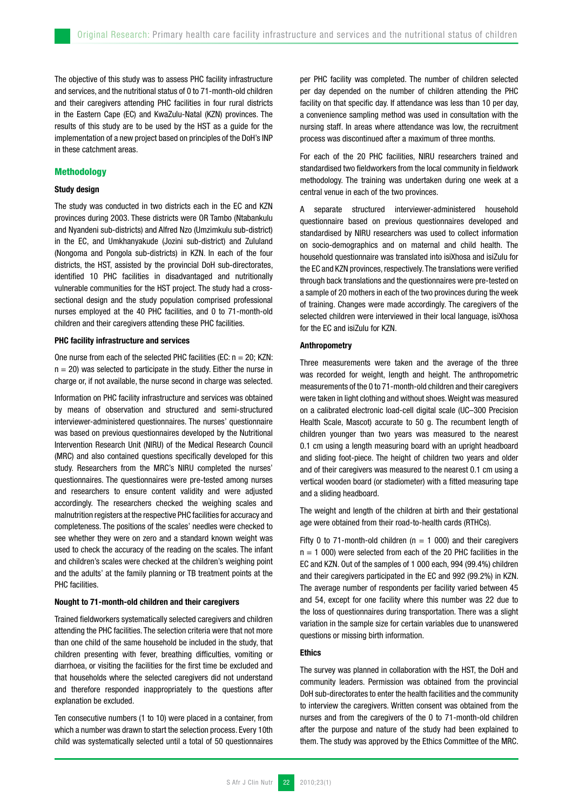The objective of this study was to assess PHC facility infrastructure and services, and the nutritional status of 0 to 71-month-old children and their caregivers attending PHC facilities in four rural districts in the Eastern Cape (EC) and KwaZulu-Natal (KZN) provinces. The results of this study are to be used by the HST as a guide for the implementation of a new project based on principles of the DoH's INP in these catchment areas.

## Methodology

## Study design

The study was conducted in two districts each in the EC and KZN provinces during 2003. These districts were OR Tambo (Ntabankulu and Nyandeni sub-districts) and Alfred Nzo (Umzimkulu sub-district) in the EC, and Umkhanyakude (Jozini sub-district) and Zululand (Nongoma and Pongola sub-districts) in KZN. In each of the four districts, the HST, assisted by the provincial DoH sub-directorates, identified 10 PHC facilities in disadvantaged and nutritionally vulnerable communities for the HST project. The study had a crosssectional design and the study population comprised professional nurses employed at the 40 PHC facilities, and 0 to 71-month-old children and their caregivers attending these PHC facilities.

## PHC facility infrastructure and services

One nurse from each of the selected PHC facilities (EC:  $n = 20$ ; KZN:  $n = 20$ ) was selected to participate in the study. Either the nurse in charge or, if not available, the nurse second in charge was selected.

Information on PHC facility infrastructure and services was obtained by means of observation and structured and semi-structured interviewer-administered questionnaires. The nurses' questionnaire was based on previous questionnaires developed by the Nutritional Intervention Research Unit (NIRU) of the Medical Research Council (MRC) and also contained questions specifically developed for this study. Researchers from the MRC's NIRU completed the nurses' questionnaires. The questionnaires were pre-tested among nurses and researchers to ensure content validity and were adjusted accordingly. The researchers checked the weighing scales and malnutrition registers at the respective PHC facilities for accuracy and completeness. The positions of the scales' needles were checked to see whether they were on zero and a standard known weight was used to check the accuracy of the reading on the scales. The infant and children's scales were checked at the children's weighing point and the adults' at the family planning or TB treatment points at the PHC facilities.

## Nought to 71-month-old children and their caregivers

Trained fieldworkers systematically selected caregivers and children attending the PHC facilities. The selection criteria were that not more than one child of the same household be included in the study, that children presenting with fever, breathing difficulties, vomiting or diarrhoea, or visiting the facilities for the first time be excluded and that households where the selected caregivers did not understand and therefore responded inappropriately to the questions after explanation be excluded.

Ten consecutive numbers (1 to 10) were placed in a container, from which a number was drawn to start the selection process. Every 10th child was systematically selected until a total of 50 questionnaires

per PHC facility was completed. The number of children selected per day depended on the number of children attending the PHC facility on that specific day. If attendance was less than 10 per day, a convenience sampling method was used in consultation with the nursing staff. In areas where attendance was low, the recruitment process was discontinued after a maximum of three months.

For each of the 20 PHC facilities, NIRU researchers trained and standardised two fieldworkers from the local community in fieldwork methodology. The training was undertaken during one week at a central venue in each of the two provinces.

A separate structured interviewer-administered household questionnaire based on previous questionnaires developed and standardised by NIRU researchers was used to collect information on socio-demographics and on maternal and child health. The household questionnaire was translated into isiXhosa and isiZulu for the EC and KZN provinces, respectively. The translations were verified through back translations and the questionnaires were pre-tested on a sample of 20 mothers in each of the two provinces during the week of training. Changes were made accordingly. The caregivers of the selected children were interviewed in their local language, isiXhosa for the EC and isiZulu for KZN.

#### **Anthropometry**

Three measurements were taken and the average of the three was recorded for weight, length and height. The anthropometric measurements of the 0 to 71-month-old children and their caregivers were taken in light clothing and without shoes. Weight was measured on a calibrated electronic load-cell digital scale (UC–300 Precision Health Scale, Mascot) accurate to 50 g. The recumbent length of children younger than two years was measured to the nearest 0.1 cm using a length measuring board with an upright headboard and sliding foot-piece. The height of children two years and older and of their caregivers was measured to the nearest 0.1 cm using a vertical wooden board (or stadiometer) with a fitted measuring tape and a sliding headboard.

The weight and length of the children at birth and their gestational age were obtained from their road-to-health cards (RTHCs).

Fifty 0 to 71-month-old children ( $n = 1000$ ) and their caregivers  $n = 1000$ ) were selected from each of the 20 PHC facilities in the EC and KZN. Out of the samples of 1 000 each, 994 (99.4%) children and their caregivers participated in the EC and 992 (99.2%) in KZN. The average number of respondents per facility varied between 45 and 54, except for one facility where this number was 22 due to the loss of questionnaires during transportation. There was a slight variation in the sample size for certain variables due to unanswered questions or missing birth information.

#### Ethics

The survey was planned in collaboration with the HST, the DoH and community leaders. Permission was obtained from the provincial DoH sub-directorates to enter the health facilities and the community to interview the caregivers. Written consent was obtained from the nurses and from the caregivers of the 0 to 71-month-old children after the purpose and nature of the study had been explained to them. The study was approved by the Ethics Committee of the MRC.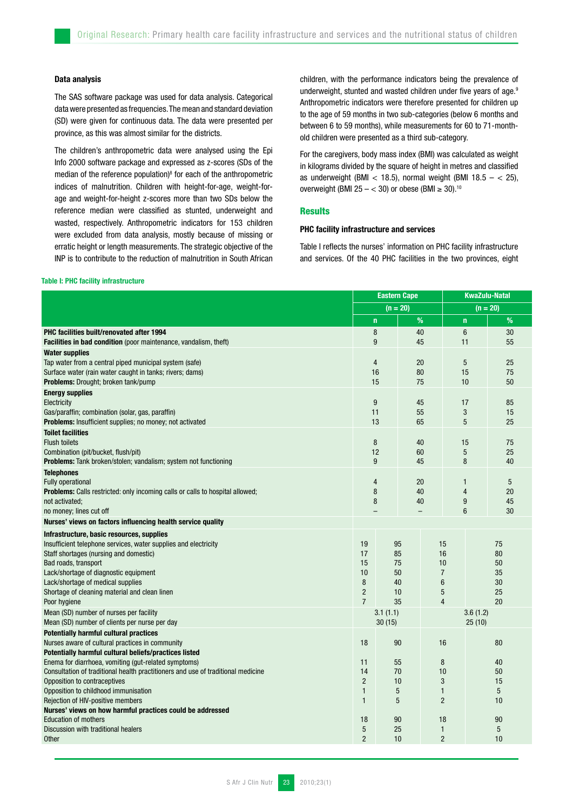## Data analysis

The SAS software package was used for data analysis. Categorical data were presented as frequencies. The mean and standard deviation (SD) were given for continuous data. The data were presented per province, as this was almost similar for the districts.

The children's anthropometric data were analysed using the Epi Info 2000 software package and expressed as z-scores (SDs of the median of the reference population)<sup>8</sup> for each of the anthropometric indices of malnutrition. Children with height-for-age, weight-forage and weight-for-height z-scores more than two SDs below the reference median were classified as stunted, underweight and wasted, respectively. Anthropometric indicators for 153 children were excluded from data analysis, mostly because of missing or erratic height or length measurements. The strategic objective of the INP is to contribute to the reduction of malnutrition in South African

# children, with the performance indicators being the prevalence of underweight, stunted and wasted children under five years of age.<sup>9</sup> Anthropometric indicators were therefore presented for children up to the age of 59 months in two sub-categories (below 6 months and between 6 to 59 months), while measurements for 60 to 71-monthold children were presented as a third sub-category.

For the caregivers, body mass index (BMI) was calculated as weight in kilograms divided by the square of height in metres and classified as underweight (BMI < 18.5), normal weight (BMI 18.5  $-$  < 25), overweight (BMI 25 – < 30) or obese (BMI  $\geq$  30).<sup>10</sup>

## **Results**

## PHC facility infrastructure and services

Table I reflects the nurses' information on PHC facility infrastructure and services. Of the 40 PHC facilities in the two provinces, eight

#### Table I: PHC facility infrastructure

|                                                                                                                      |                                  | <b>Eastern Cape</b>                                          |          |                                |                       |          | <b>KwaZulu-Natal</b> |  |
|----------------------------------------------------------------------------------------------------------------------|----------------------------------|--------------------------------------------------------------|----------|--------------------------------|-----------------------|----------|----------------------|--|
|                                                                                                                      |                                  | $(n = 20)$<br>$(n = 20)$<br>%<br>$\mathbf n$<br>$\mathbf{n}$ |          |                                |                       |          |                      |  |
|                                                                                                                      |                                  |                                                              |          |                                |                       |          | %                    |  |
| PHC facilities built/renovated after 1994<br><b>Facilities in bad condition</b> (poor maintenance, vandalism, theft) | 8<br>9                           |                                                              | 40<br>45 |                                | $6\phantom{1}6$<br>11 |          | 30<br>55             |  |
| <b>Water supplies</b>                                                                                                |                                  |                                                              |          |                                |                       |          |                      |  |
| Tap water from a central piped municipal system (safe)                                                               | $\overline{4}$                   |                                                              | 20       |                                | 5                     |          | 25                   |  |
| Surface water (rain water caught in tanks; rivers; dams)                                                             | 16                               |                                                              | 80       |                                | 15                    |          | 75                   |  |
| <b>Problems:</b> Drought; broken tank/pump                                                                           | 15                               |                                                              | 75       |                                | 10                    |          | 50                   |  |
| <b>Energy supplies</b>                                                                                               |                                  |                                                              |          |                                |                       |          |                      |  |
| Electricity                                                                                                          | 9<br>11                          |                                                              | 45<br>55 |                                | 17<br>3               |          | 85<br>15             |  |
| Gas/paraffin; combination (solar, gas, paraffin)<br>Problems: Insufficient supplies; no money; not activated         | 13                               |                                                              | 65       |                                | 5                     |          | 25                   |  |
| <b>Toilet facilities</b>                                                                                             |                                  |                                                              |          |                                |                       |          |                      |  |
| <b>Flush toilets</b>                                                                                                 | 8                                |                                                              | 40       |                                | 15                    |          | 75                   |  |
| Combination (pit/bucket, flush/pit)                                                                                  | 12                               |                                                              | 60       |                                | 5                     |          | 25                   |  |
| <b>Problems:</b> Tank broken/stolen; vandalism; system not functioning                                               | 9                                |                                                              | 45       |                                | 8                     |          | 40                   |  |
| <b>Telephones</b>                                                                                                    |                                  |                                                              |          |                                |                       |          |                      |  |
| <b>Fully operational</b>                                                                                             | 4                                |                                                              | 20       |                                | 1                     |          | 5                    |  |
| <b>Problems:</b> Calls restricted: only incoming calls or calls to hospital allowed;                                 | 8                                |                                                              | 40       |                                | $\overline{4}$        |          | 20                   |  |
| not activated;                                                                                                       | 8                                |                                                              | 40       |                                | 9                     |          | 45                   |  |
| no money; lines cut off                                                                                              |                                  |                                                              |          |                                | 6                     |          | 30                   |  |
| Nurses' views on factors influencing health service quality                                                          |                                  |                                                              |          |                                |                       |          |                      |  |
| Infrastructure, basic resources, supplies                                                                            |                                  |                                                              |          |                                |                       |          |                      |  |
| Insufficient telephone services, water supplies and electricity                                                      | 19                               | 95                                                           |          | 15                             |                       |          | 75                   |  |
| Staff shortages (nursing and domestic)                                                                               | 17                               | 85                                                           |          | 16                             |                       |          | 80                   |  |
| Bad roads, transport                                                                                                 | 15                               | 75                                                           |          | 10                             |                       |          | 50                   |  |
| Lack/shortage of diagnostic equipment                                                                                | 10                               | 50                                                           |          | $\overline{7}$                 |                       |          | 35                   |  |
| Lack/shortage of medical supplies                                                                                    | 8                                | 40                                                           |          | 6                              |                       |          | 30                   |  |
| Shortage of cleaning material and clean linen<br>Poor hygiene                                                        | $\overline{2}$<br>$\overline{7}$ | 10<br>35                                                     |          | 5<br>$\overline{4}$            |                       |          | 25<br>20             |  |
| Mean (SD) number of nurses per facility                                                                              |                                  | 3.1(1.1)                                                     |          |                                |                       | 3.6(1.2) |                      |  |
| Mean (SD) number of clients per nurse per day                                                                        |                                  | 30(15)                                                       |          |                                |                       | 25(10)   |                      |  |
| <b>Potentially harmful cultural practices</b>                                                                        |                                  |                                                              |          |                                |                       |          |                      |  |
| Nurses aware of cultural practices in community                                                                      | 18                               | 90                                                           |          | 16                             |                       |          | 80                   |  |
| Potentially harmful cultural beliefs/practices listed                                                                |                                  |                                                              |          |                                |                       |          |                      |  |
| Enema for diarrhoea, vomiting (gut-related symptoms)                                                                 | 11                               | 55                                                           |          | 8                              |                       |          | 40                   |  |
| Consultation of traditional health practitioners and use of traditional medicine                                     | 14                               | 70                                                           |          | 10                             |                       |          | 50                   |  |
| Opposition to contraceptives                                                                                         | $\overline{2}$                   | 10                                                           |          | 3                              |                       |          | 15                   |  |
| Opposition to childhood immunisation                                                                                 | $\mathbf{1}$                     | 5                                                            |          | $\mathbf{1}$                   |                       |          | 5                    |  |
| Rejection of HIV-positive members                                                                                    | $\mathbf{1}$                     | 5                                                            |          | $\overline{2}$                 |                       |          | 10                   |  |
| Nurses' views on how harmful practices could be addressed                                                            |                                  |                                                              |          |                                |                       |          |                      |  |
| <b>Education of mothers</b>                                                                                          | 18                               | 90                                                           |          | 18                             |                       |          | 90                   |  |
| Discussion with traditional healers                                                                                  | 5<br>$\overline{2}$              | 25<br>10                                                     |          | $\mathbf{1}$<br>$\overline{2}$ |                       |          | 5<br>10              |  |
| <b>Other</b>                                                                                                         |                                  |                                                              |          |                                |                       |          |                      |  |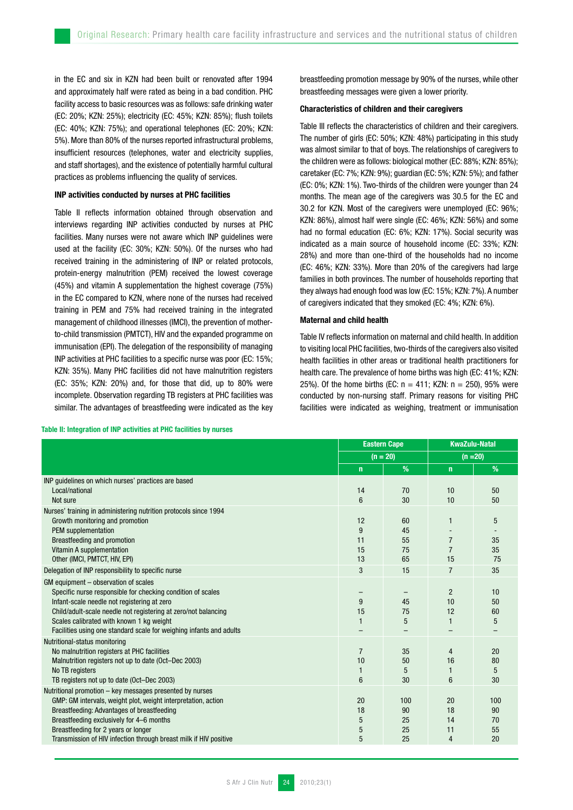in the EC and six in KZN had been built or renovated after 1994 and approximately half were rated as being in a bad condition. PHC facility access to basic resources was as follows: safe drinking water (EC: 20%; KZN: 25%); electricity (EC: 45%; KZN: 85%); flush toilets (EC: 40%; KZN: 75%); and operational telephones (EC: 20%; KZN: 5%). More than 80% of the nurses reported infrastructural problems, insufficient resources (telephones, water and electricity supplies, and staff shortages), and the existence of potentially harmful cultural practices as problems influencing the quality of services.

## INP activities conducted by nurses at PHC facilities

Table II reflects information obtained through observation and interviews regarding INP activities conducted by nurses at PHC facilities. Many nurses were not aware which INP guidelines were used at the facility (EC: 30%; KZN: 50%). Of the nurses who had received training in the administering of INP or related protocols, protein-energy malnutrition (PEM) received the lowest coverage (45%) and vitamin A supplementation the highest coverage (75%) in the EC compared to KZN, where none of the nurses had received training in PEM and 75% had received training in the integrated management of childhood illnesses (IMCI), the prevention of motherto-child transmission (PMTCT), HIV and the expanded programme on immunisation (EPI). The delegation of the responsibility of managing INP activities at PHC facilities to a specific nurse was poor (EC: 15%; KZN: 35%). Many PHC facilities did not have malnutrition registers (EC: 35%; KZN: 20%) and, for those that did, up to 80% were incomplete. Observation regarding TB registers at PHC facilities was similar. The advantages of breastfeeding were indicated as the key

#### Table II: Integration of INP activities at PHC facilities by nurses

breastfeeding promotion message by 90% of the nurses, while other breastfeeding messages were given a lower priority.

#### Characteristics of children and their caregivers

Table III reflects the characteristics of children and their caregivers. The number of girls (EC: 50%; KZN: 48%) participating in this study was almost similar to that of boys. The relationships of caregivers to the children were as follows: biological mother (EC: 88%; KZN: 85%); caretaker (EC: 7%; KZN: 9%); guardian (EC: 5%; KZN: 5%); and father (EC: 0%; KZN: 1%). Two-thirds of the children were younger than 24 months. The mean age of the caregivers was 30.5 for the EC and 30.2 for KZN. Most of the caregivers were unemployed (EC: 96%; KZN: 86%), almost half were single (EC: 46%; KZN: 56%) and some had no formal education (EC: 6%; KZN: 17%). Social security was indicated as a main source of household income (EC: 33%; KZN: 28%) and more than one-third of the households had no income (EC: 46%; KZN: 33%). More than 20% of the caregivers had large families in both provinces. The number of households reporting that they always had enough food was low (EC: 15%; KZN: 7%). A number of caregivers indicated that they smoked (EC: 4%; KZN: 6%).

#### Maternal and child health

Table IV reflects information on maternal and child health. In addition to visiting local PHC facilities, two-thirds of the caregivers also visited health facilities in other areas or traditional health practitioners for health care. The prevalence of home births was high (EC: 41%; KZN: 25%). Of the home births (EC:  $n = 411$ ; KZN:  $n = 250$ ), 95% were conducted by non-nursing staff. Primary reasons for visiting PHC facilities were indicated as weighing, treatment or immunisation

|                                                                                                          | <b>Eastern Cape</b> |          | <b>KwaZulu-Natal</b> |            |  |
|----------------------------------------------------------------------------------------------------------|---------------------|----------|----------------------|------------|--|
|                                                                                                          | $(n = 20)$          |          |                      | $(n = 20)$ |  |
|                                                                                                          | $\mathbf n$         | %        | $\mathbf n$          | %          |  |
| INP guidelines on which nurses' practices are based                                                      |                     |          |                      |            |  |
| Local/national                                                                                           | 14                  | 70       | 10                   | 50         |  |
| Not sure                                                                                                 | 6                   | 30       | 10                   | 50         |  |
| Nurses' training in administering nutrition protocols since 1994                                         |                     |          |                      |            |  |
| Growth monitoring and promotion<br>PEM supplementation                                                   | 12                  | 60<br>45 | $\mathbf{1}$         | 5          |  |
| Breastfeeding and promotion                                                                              | 9<br>11             | 55       | $\overline{7}$       | 35         |  |
| Vitamin A supplementation                                                                                | 15                  | 75       | 7                    | 35         |  |
| Other (IMCI, PMTCT, HIV, EPI)                                                                            | 13                  | 65       | 15                   | 75         |  |
| Delegation of INP responsibility to specific nurse                                                       | 3                   | 15       | $\overline{7}$       | 35         |  |
| GM equipment – observation of scales                                                                     |                     |          |                      |            |  |
| Specific nurse responsible for checking condition of scales                                              |                     |          | $\overline{2}$       | 10         |  |
| Infant-scale needle not registering at zero                                                              | 9                   | 45       | 10                   | 50         |  |
| Child/adult-scale needle not registering at zero/not balancing                                           | 15                  | 75       | 12                   | 60         |  |
| Scales calibrated with known 1 kg weight                                                                 | $\mathbf{1}$        | 5        | $\mathbf{1}$         | 5          |  |
| Facilities using one standard scale for weighing infants and adults                                      |                     |          |                      |            |  |
| Nutritional-status monitoring<br>No malnutrition registers at PHC facilities                             | $\overline{7}$      | 35       | $\overline{4}$       | 20         |  |
| Malnutrition registers not up to date (Oct-Dec 2003)                                                     | 10                  | 50       | 16                   | 80         |  |
| No TB registers                                                                                          | 1                   | 5        | $\mathbf{1}$         | 5          |  |
| TB registers not up to date (Oct-Dec 2003)                                                               | 6                   | 30       | 6                    | 30         |  |
| Nutritional promotion - key messages presented by nurses                                                 |                     |          |                      |            |  |
| GMP: GM intervals, weight plot, weight interpretation, action                                            | 20                  | 100      | 20                   | 100        |  |
| Breastfeeding: Advantages of breastfeeding                                                               | 18                  | 90       | 18                   | 90         |  |
| Breastfeeding exclusively for 4-6 months                                                                 | 5                   | 25       | 14                   | 70         |  |
| Breastfeeding for 2 years or longer<br>Transmission of HIV infection through breast milk if HIV positive | 5<br>5              | 25<br>25 | 11<br>$\overline{4}$ | 55<br>20   |  |
|                                                                                                          |                     |          |                      |            |  |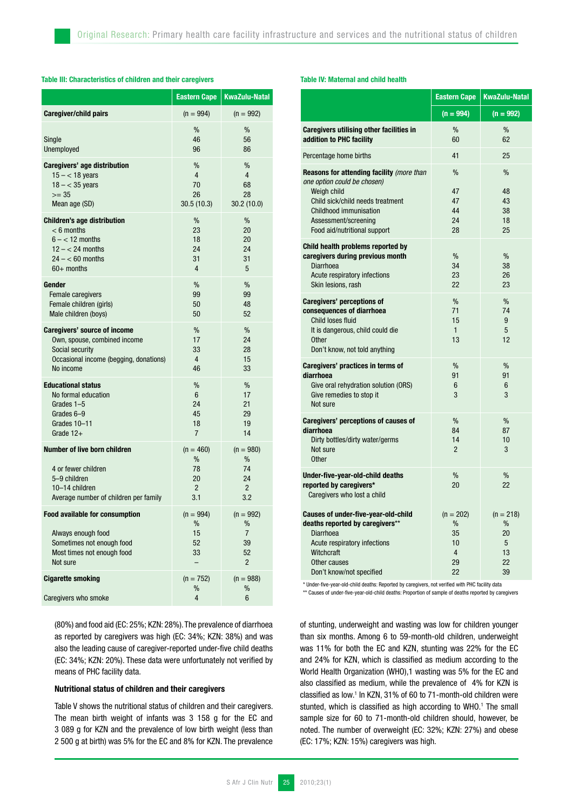## Table III: Characteristics of children and their caregivers

|                                                                                                                                               | <b>Eastern Cape</b>                                   | <b>KwaZulu-Natal</b>                                             |
|-----------------------------------------------------------------------------------------------------------------------------------------------|-------------------------------------------------------|------------------------------------------------------------------|
| <b>Caregiver/child pairs</b>                                                                                                                  | $(n = 994)$                                           | $(n = 992)$                                                      |
| Single<br>Unemployed                                                                                                                          | %<br>46<br>96                                         | %<br>56<br>86                                                    |
| <b>Caregivers' age distribution</b><br>$15 - < 18$ years<br>$18 - < 35$ years<br>$>= 35$<br>Mean age (SD)                                     | %<br>$\overline{4}$<br>70<br>26<br>30.5(10.3)         | %<br>$\overline{4}$<br>68<br>28<br>30.2(10.0)                    |
| <b>Children's age distribution</b><br>$< 6$ months<br>$6 - < 12$ months<br>$12 - 24$ months<br>$24 - 60$ months<br>$60+$ months               | %<br>23<br>18<br>24<br>31<br>$\overline{4}$           | %<br>20<br>20<br>24<br>31<br>5                                   |
| Gender<br>Female caregivers<br>Female children (girls)<br>Male children (boys)                                                                | %<br>99<br>50<br>50                                   | %<br>99<br>48<br>52                                              |
| <b>Caregivers' source of income</b><br>Own, spouse, combined income<br>Social security<br>Occasional income (begging, donations)<br>No income | %<br>17<br>33<br>$\overline{4}$<br>46                 | %<br>24<br>28<br>15<br>33                                        |
| <b>Educational status</b><br>No formal education<br>Grades 1-5<br>Grades 6-9<br>Grades 10-11<br>Grade $12+$                                   | %<br>6<br>24<br>45<br>18<br>$\overline{7}$            | %<br>17<br>21<br>29<br>19<br>14                                  |
| <b>Number of live born children</b><br>4 or fewer children<br>5-9 children<br>10-14 children<br>Average number of children per family         | $(n = 460)$<br>%<br>78<br>20<br>$\overline{2}$<br>3.1 | $(n = 980)$<br>$\%$<br>74<br>24<br>$\overline{2}$<br>3.2         |
| <b>Food available for consumption</b><br>Always enough food<br>Sometimes not enough food<br>Most times not enough food<br>Not sure            | $(n = 994)$<br>%<br>15<br>52<br>33                    | $(n = 992)$<br>%<br>$\overline{7}$<br>39<br>52<br>$\overline{c}$ |
| <b>Cigarette smoking</b><br>Caregivers who smoke                                                                                              | $(n = 752)$<br>%<br>4                                 | $(n = 988)$<br>%<br>6                                            |

(80%) and food aid (EC: 25%; KZN: 28%). The prevalence of diarrhoea as reported by caregivers was high (EC: 34%; KZN: 38%) and was also the leading cause of caregiver-reported under-five child deaths (EC: 34%; KZN: 20%). These data were unfortunately not verified by means of PHC facility data.

# Nutritional status of children and their caregivers

Table V shows the nutritional status of children and their caregivers. The mean birth weight of infants was 3 158 g for the EC and 3 089 g for KZN and the prevalence of low birth weight (less than 2 500 g at birth) was 5% for the EC and 8% for KZN. The prevalence

## Table IV: Maternal and child health

|                                                                                                                                                                                                               | <b>Eastern Cape</b>                                                    | <b>KwaZulu-Natal</b>                                      |  |  |
|---------------------------------------------------------------------------------------------------------------------------------------------------------------------------------------------------------------|------------------------------------------------------------------------|-----------------------------------------------------------|--|--|
|                                                                                                                                                                                                               | $(n = 994)$                                                            | $(n = 992)$                                               |  |  |
| <b>Caregivers utilising other facilities in</b><br>addition to PHC facility                                                                                                                                   | %<br>60                                                                | %<br>62                                                   |  |  |
| Percentage home births                                                                                                                                                                                        | 41                                                                     | 25                                                        |  |  |
| Reasons for attending facility (more than<br>one option could be chosen)<br>Weigh child<br>Child sick/child needs treatment<br>Childhood immunisation<br>Assessment/screening<br>Food aid/nutritional support | $\frac{9}{6}$<br>47<br>47<br>44<br>24<br>28                            | $\frac{0}{0}$<br>48<br>43<br>38<br>18<br>25               |  |  |
| Child health problems reported by<br>caregivers during previous month<br><b>Diarrhoea</b><br>Acute respiratory infections<br>Skin lesions, rash                                                               | $\frac{0}{0}$<br>34<br>23<br>22                                        | $\frac{0}{0}$<br>38<br>26<br>23                           |  |  |
| <b>Caregivers' perceptions of</b><br>consequences of diarrhoea<br>Child loses fluid<br>It is dangerous, child could die<br><b>Other</b><br>Don't know, not told anything                                      | $\frac{0}{0}$<br>71<br>15<br>$\mathbf{1}$<br>13                        | $\frac{0}{0}$<br>74<br>9<br>5<br>12                       |  |  |
| Caregivers' practices in terms of<br>diarrhoea<br>Give oral rehydration solution (ORS)<br>Give remedies to stop it<br>Not sure                                                                                | $\%$<br>91<br>6<br>3                                                   | $\frac{0}{0}$<br>91<br>6<br>3                             |  |  |
| Caregivers' perceptions of causes of<br>diarrhoea<br>Dirty bottles/dirty water/germs<br>Not sure<br><b>Other</b>                                                                                              | $\frac{0}{0}$<br>84<br>14<br>$\overline{2}$                            | $\frac{0}{0}$<br>87<br>10<br>3                            |  |  |
| Under-five-year-old-child deaths<br>reported by caregivers*<br>Caregivers who lost a child                                                                                                                    | $\%$<br>20                                                             | $\%$<br>22                                                |  |  |
| <b>Causes of under-five-year-old-child</b><br>deaths reported by caregivers**<br><b>Diarrhoea</b><br>Acute respiratory infections<br>Witchcraft<br>Other causes<br>Don't know/not specified                   | $(n = 202)$<br>$\frac{0}{0}$<br>35<br>10<br>$\overline{4}$<br>29<br>22 | $(n = 218)$<br>$\frac{0}{0}$<br>20<br>5<br>13<br>22<br>39 |  |  |

\* Under-five-year-old-child deaths: Reported by caregivers, not verified with PHC facility data

\*\* Causes of under-five-year-old-child deaths: Proportion of sample of deaths reported by caregivers

of stunting, underweight and wasting was low for children younger than six months. Among 6 to 59-month-old children, underweight was 11% for both the EC and KZN, stunting was 22% for the EC and 24% for KZN, which is classified as medium according to the World Health Organization (WHO),1 wasting was 5% for the EC and also classified as medium, while the prevalence of 4% for KZN is classified as low.1 In KZN, 31% of 60 to 71-month-old children were stunted, which is classified as high according to WHO.<sup>1</sup> The small sample size for 60 to 71-month-old children should, however, be noted. The number of overweight (EC: 32%; KZN: 27%) and obese (EC: 17%; KZN: 15%) caregivers was high.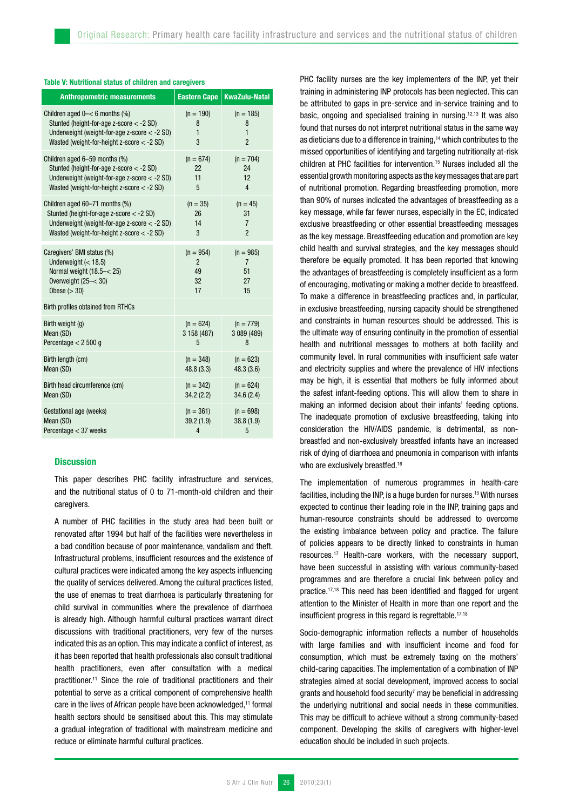| <b>Anthropometric measurements</b>                | <b>Eastern Cape</b> | <b>KwaZulu-Natal</b> |
|---------------------------------------------------|---------------------|----------------------|
| Children aged $0 - < 6$ months $(\%)$             | $(n = 190)$         | $(n = 185)$          |
| Stunted (height-for-age $z$ -score $<$ -2 SD)     | 8                   | 8                    |
| Underweight (weight-for-age $z$ -score $<$ -2 SD) | $\mathbf{1}$        | 1                    |
| Wasted (weight-for-height $z$ -score $<$ -2 SD)   | 3                   | $\overline{2}$       |
| Children aged 6-59 months (%)                     | $(n = 674)$         | $(n = 704)$          |
| Stunted (height-for-age $z$ -score $<$ -2 SD)     | 22                  | 24                   |
| Underweight (weight-for-age $z$ -score $<$ -2 SD) | 11                  | 12                   |
| Wasted (weight-for-height $z$ -score $<$ -2 SD)   | 5                   | $\overline{4}$       |
| Children aged 60-71 months (%)                    | $(n = 35)$          | $(n = 45)$           |
| Stunted (height-for-age z-score < -2 SD)          | 26                  | 31                   |
| Underweight (weight-for-age $z$ -score $<$ -2 SD) | 14                  | $\overline{7}$       |
| Wasted (weight-for-height $z$ -score $<$ -2 SD)   | 3                   | $\overline{2}$       |
| Caregivers' BMI status (%)                        | $(n = 954)$         | $(n = 985)$          |
| Underweight $(< 18.5)$                            | $\overline{2}$      | $\overline{7}$       |
| Normal weight (18.5-< 25)                         | 49                  | 51                   |
| Overweight $(25 - < 30)$                          | 32                  | 27                   |
| Obese $(>30)$                                     | 17                  | 15                   |
| Birth profiles obtained from RTHCs                |                     |                      |
| Birth weight (g)                                  | $(n = 624)$         | $(n = 779)$          |
| Mean (SD)                                         | 3 158 (487)         | 3 089 (489)          |
| Percentage $< 2500 g$                             | 5                   | 8                    |
| Birth length (cm)                                 | $(n = 348)$         | $(n = 623)$          |
| Mean (SD)                                         | 48.8(3.3)           | 48.3 (3.6)           |
| Birth head circumference (cm)                     | $(n = 342)$         | $(n = 624)$          |
| Mean (SD)                                         | 34.2(2.2)           | 34.6(2.4)            |
| Gestational age (weeks)                           | $(n = 361)$         | $(n = 698)$          |
| Mean (SD)                                         | 39.2(1.9)           | 38.8 (1.9)           |
| Percentage < 37 weeks                             | $\overline{4}$      | 5                    |

#### Table V: Nutritional status of children and caregivers

## **Discussion**

This paper describes PHC facility infrastructure and services, and the nutritional status of 0 to 71-month-old children and their caregivers.

A number of PHC facilities in the study area had been built or renovated after 1994 but half of the facilities were nevertheless in a bad condition because of poor maintenance, vandalism and theft. Infrastructural problems, insufficient resources and the existence of cultural practices were indicated among the key aspects influencing the quality of services delivered. Among the cultural practices listed, the use of enemas to treat diarrhoea is particularly threatening for child survival in communities where the prevalence of diarrhoea is already high. Although harmful cultural practices warrant direct discussions with traditional practitioners, very few of the nurses indicated this as an option. This may indicate a conflict of interest, as it has been reported that health professionals also consult traditional health practitioners, even after consultation with a medical practitioner.11 Since the role of traditional practitioners and their potential to serve as a critical component of comprehensive health care in the lives of African people have been acknowledged,11 formal health sectors should be sensitised about this. This may stimulate a gradual integration of traditional with mainstream medicine and reduce or eliminate harmful cultural practices.

PHC facility nurses are the key implementers of the INP, yet their training in administering INP protocols has been neglected. This can be attributed to gaps in pre-service and in-service training and to basic, ongoing and specialised training in nursing.12,13 It was also found that nurses do not interpret nutritional status in the same way as dieticians due to a difference in training,<sup>14</sup> which contributes to the missed opportunities of identifying and targeting nutritionally at-risk children at PHC facilities for intervention.15 Nurses included all the essential growth monitoring aspects as the key messages that are part of nutritional promotion. Regarding breastfeeding promotion, more than 90% of nurses indicated the advantages of breastfeeding as a key message, while far fewer nurses, especially in the EC, indicated exclusive breastfeeding or other essential breastfeeding messages as the key message. Breastfeeding education and promotion are key child health and survival strategies, and the key messages should therefore be equally promoted. It has been reported that knowing the advantages of breastfeeding is completely insufficient as a form of encouraging, motivating or making a mother decide to breastfeed. To make a difference in breastfeeding practices and, in particular, in exclusive breastfeeding, nursing capacity should be strengthened and constraints in human resources should be addressed. This is the ultimate way of ensuring continuity in the promotion of essential health and nutritional messages to mothers at both facility and community level. In rural communities with insufficient safe water and electricity supplies and where the prevalence of HIV infections may be high, it is essential that mothers be fully informed about the safest infant-feeding options. This will allow them to share in making an informed decision about their infants' feeding options. The inadequate promotion of exclusive breastfeeding, taking into consideration the HIV/AIDS pandemic, is detrimental, as nonbreastfed and non-exclusively breastfed infants have an increased risk of dying of diarrhoea and pneumonia in comparison with infants who are exclusively breastfed.<sup>16</sup>

The implementation of numerous programmes in health-care facilities, including the INP, is a huge burden for nurses.15 With nurses expected to continue their leading role in the INP, training gaps and human-resource constraints should be addressed to overcome the existing imbalance between policy and practice. The failure of policies appears to be directly linked to constraints in human resources.17 Health-care workers, with the necessary support, have been successful in assisting with various community-based programmes and are therefore a crucial link between policy and practice.17,18 This need has been identified and flagged for urgent attention to the Minister of Health in more than one report and the insufficient progress in this regard is regrettable.<sup>17,18</sup>

Socio-demographic information reflects a number of households with large families and with insufficient income and food for consumption, which must be extremely taxing on the mothers' child-caring capacities. The implementation of a combination of INP strategies aimed at social development, improved access to social grants and household food security<sup>7</sup> may be beneficial in addressing the underlying nutritional and social needs in these communities. This may be difficult to achieve without a strong community-based component. Developing the skills of caregivers with higher-level education should be included in such projects.